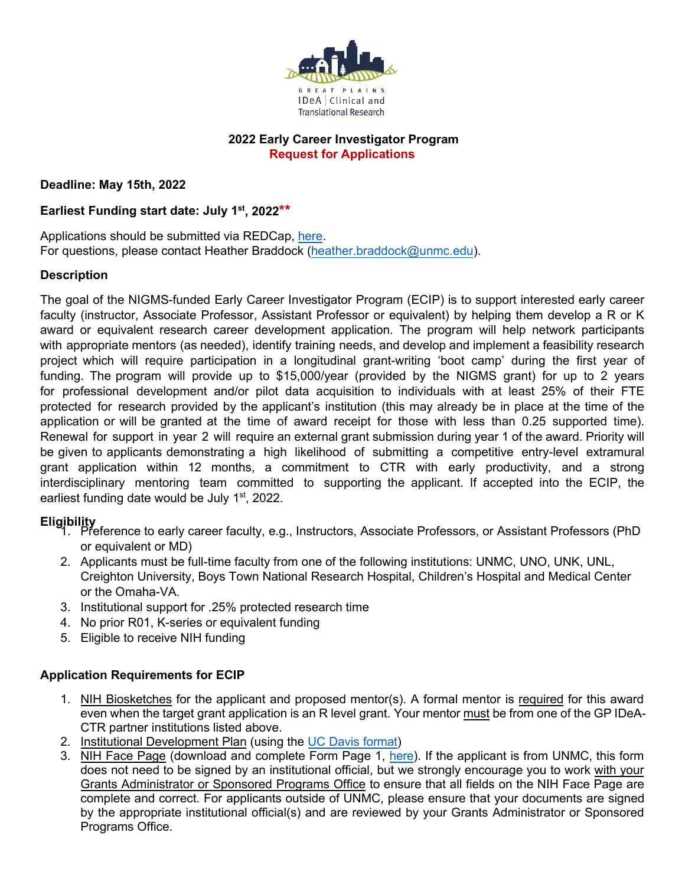

## **2022 Early Career Investigator Program Request for Applications**

**Deadline: May 15th, 2022**

# **Earliest Funding start date: July 1st , 2022\*\***

Applications should be submitted via REDCap, [here.](https://unmcredcap.unmc.edu/redcap/surveys/?s=JA84R84CCLYR3KRN) For questions, please contact Heather Braddock [\(heather.braddock@unmc.edu\)](mailto:heather.braddock@unmc.edu).

## **Description**

The goal of the NIGMS-funded Early Career Investigator Program (ECIP) is to support interested early career faculty (instructor, Associate Professor, Assistant Professor or equivalent) by helping them develop a R or K award or equivalent research career development application. The program will help network participants with appropriate mentors (as needed), identify training needs, and develop and implement a feasibility research project which will require participation in a longitudinal grant-writing 'boot camp' during the first year of funding. The program will provide up to \$15,000/year (provided by the NIGMS grant) for up to 2 years for professional development and/or pilot data acquisition to individuals with at least 25% of their FTE protected for research provided by the applicant's institution (this may already be in place at the time of the application or will be granted at the time of award receipt for those with less than 0.25 supported time). Renewal for support in year 2 will require an external grant submission during year 1 of the award. Priority will be given to applicants demonstrating a high likelihood of submitting a competitive entry-level extramural grant application within 12 months, a commitment to CTR with early productivity, and a strong interdisciplinary mentoring team committed to supporting the applicant. If accepted into the ECIP, the earliest funding date would be July 1<sup>st</sup>, 2022.

- **Eligibility**  1. Preference to early career faculty, e.g., Instructors, Associate Professors, or Assistant Professors (PhD or equivalent or MD)
	- 2. Applicants must be full-time faculty from one of the following institutions: UNMC, UNO, UNK, UNL, Creighton University, Boys Town National Research Hospital, Children's Hospital and Medical Center or the Omaha-VA.
	- 3. Institutional support for .25% protected research time
	- 4. No prior R01, K-series or equivalent funding
	- 5. Eligible to receive NIH funding

## **Application Requirements for ECIP**

- 1. NIH Biosketches for the applicant and proposed mentor(s). A formal mentor is required for this award even when the target grant application is an R level grant. Your mentor must be from one of the GP IDeA-CTR partner institutions listed above.
- 2. Institutional Development Plan (using th[e UC Davis format\)](https://hr.ucdavis.edu/sites/g/files/dgvnsk4401/files/inline-files/2019%20IDP%20Template%20Fillable%20Form.pdf)
- 3. NIH Face Page (download and complete Form Page 1, [here\).](https://grants.nih.gov/grants/funding/phs398/fp1.pdf) If the applicant is from UNMC, this form does not need to be signed by an institutional official, but we strongly encourage you to work with your Grants Administrator or Sponsored Programs Office to ensure that all fields on the NIH Face Page are complete and correct. For applicants outside of UNMC, please ensure that your documents are signed by the appropriate institutional official(s) and are reviewed by your Grants Administrator or Sponsored Programs Office.